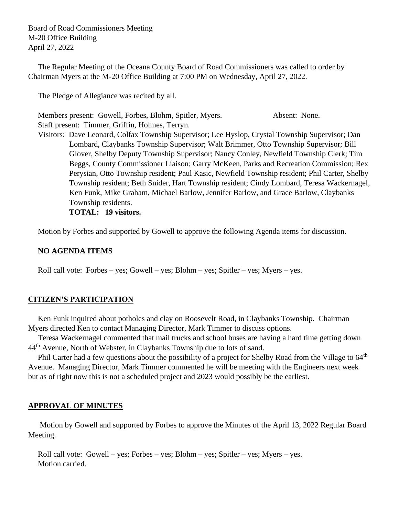Board of Road Commissioners Meeting M-20 Office Building April 27, 2022

 The Regular Meeting of the Oceana County Board of Road Commissioners was called to order by Chairman Myers at the M-20 Office Building at 7:00 PM on Wednesday, April 27, 2022.

The Pledge of Allegiance was recited by all.

 Members present: Gowell, Forbes, Blohm, Spitler, Myers. Absent: None. Staff present: Timmer, Griffin, Holmes, Terryn.

 Visitors: Dave Leonard, Colfax Township Supervisor; Lee Hyslop, Crystal Township Supervisor; Dan Lombard, Claybanks Township Supervisor; Walt Brimmer, Otto Township Supervisor; Bill Glover, Shelby Deputy Township Supervisor; Nancy Conley, Newfield Township Clerk; Tim Beggs, County Commissioner Liaison; Garry McKeen, Parks and Recreation Commission; Rex Perysian, Otto Township resident; Paul Kasic, Newfield Township resident; Phil Carter, Shelby Township resident; Beth Snider, Hart Township resident; Cindy Lombard, Teresa Wackernagel, Ken Funk, Mike Graham, Michael Barlow, Jennifer Barlow, and Grace Barlow, Claybanks Township residents.

**TOTAL: 19 visitors.**

Motion by Forbes and supported by Gowell to approve the following Agenda items for discussion.

# **NO AGENDA ITEMS**

Roll call vote: Forbes – yes; Gowell – yes; Blohm – yes; Spitler – yes; Myers – yes.

# **CITIZEN'S PARTICIPATION**

 Ken Funk inquired about potholes and clay on Roosevelt Road, in Claybanks Township. Chairman Myers directed Ken to contact Managing Director, Mark Timmer to discuss options.

 Teresa Wackernagel commented that mail trucks and school buses are having a hard time getting down 44<sup>th</sup> Avenue, North of Webster, in Claybanks Township due to lots of sand.

Phil Carter had a few questions about the possibility of a project for Shelby Road from the Village to 64<sup>th</sup> Avenue. Managing Director, Mark Timmer commented he will be meeting with the Engineers next week but as of right now this is not a scheduled project and 2023 would possibly be the earliest.

# **APPROVAL OF MINUTES**

Motion by Gowell and supported by Forbes to approve the Minutes of the April 13, 2022 Regular Board Meeting.

 Roll call vote: Gowell – yes; Forbes – yes; Blohm – yes; Spitler – yes; Myers – yes. Motion carried.